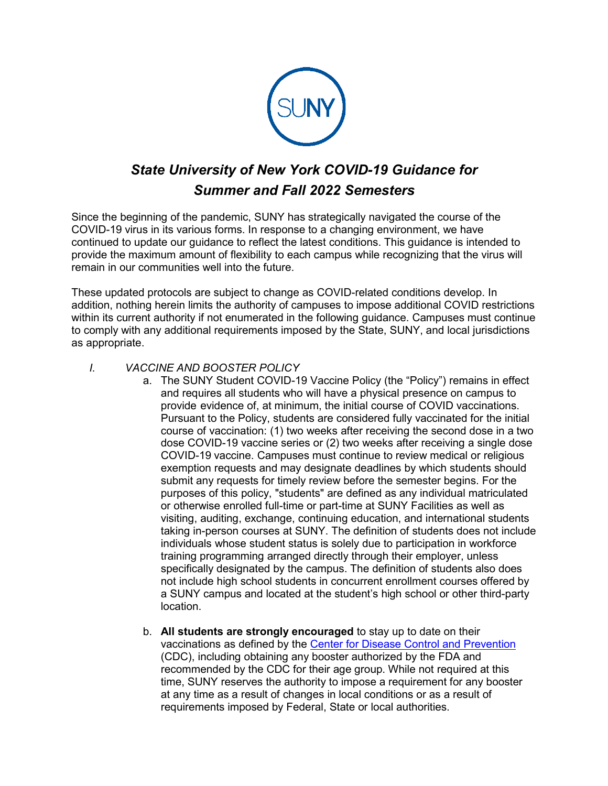

# *State University of New York COVID-19 Guidance for Summer and Fall 2022 Semesters*

Since the beginning of the pandemic, SUNY has strategically navigated the course of the COVID-19 virus in its various forms. In response to a changing environment, we have continued to update our guidance to reflect the latest conditions. This guidance is intended to provide the maximum amount of flexibility to each campus while recognizing that the virus will remain in our communities well into the future.

These updated protocols are subject to change as COVID-related conditions develop. In addition, nothing herein limits the authority of campuses to impose additional COVID restrictions within its current authority if not enumerated in the following guidance. Campuses must continue to comply with any additional requirements imposed by the State, SUNY, and local jurisdictions as appropriate.

# *I. VACCINE AND BOOSTER POLICY*

- a. The SUNY Student COVID-19 Vaccine Policy (the "Policy") remains in effect and requires all students who will have a physical presence on campus to provide evidence of, at minimum, the initial course of COVID vaccinations. Pursuant to the Policy, students are considered fully vaccinated for the initial course of vaccination: (1) two weeks after receiving the second dose in a two dose COVID-19 vaccine series or (2) two weeks after receiving a single dose COVID-19 vaccine. Campuses must continue to review medical or religious exemption requests and may designate deadlines by which students should submit any requests for timely review before the semester begins. For the purposes of this policy, "students" are defined as any individual matriculated or otherwise enrolled full-time or part-time at SUNY Facilities as well as visiting, auditing, exchange, continuing education, and international students taking in-person courses at SUNY. The definition of students does not include individuals whose student status is solely due to participation in workforce training programming arranged directly through their employer, unless specifically designated by the campus. The definition of students also does not include high school students in concurrent enrollment courses offered by a SUNY campus and located at the student's high school or other third-party location.
- b. **All students are strongly encouraged** to stay up to date on their vaccinations as defined by the [Center for Disease Control and Prevention](https://www.cdc.gov/coronavirus/2019-ncov/vaccines/stay-up-to-date.html) (CDC), including obtaining any booster authorized by the FDA and recommended by the CDC for their age group. While not required at this time, SUNY reserves the authority to impose a requirement for any booster at any time as a result of changes in local conditions or as a result of requirements imposed by Federal, State or local authorities.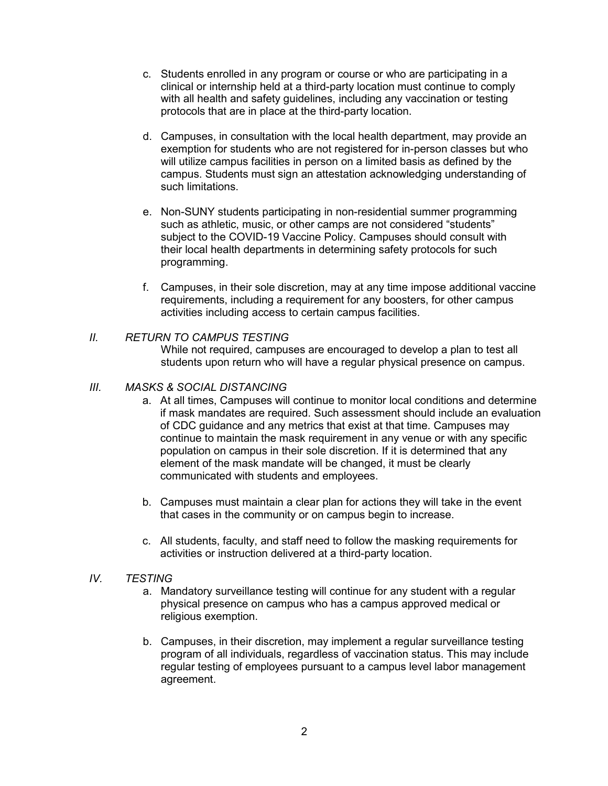- c. Students enrolled in any program or course or who are participating in a clinical or internship held at a third-party location must continue to comply with all health and safety guidelines, including any vaccination or testing protocols that are in place at the third-party location.
- d. Campuses, in consultation with the local health department, may provide an exemption for students who are not registered for in-person classes but who will utilize campus facilities in person on a limited basis as defined by the campus. Students must sign an attestation acknowledging understanding of such limitations.
- e. Non-SUNY students participating in non-residential summer programming such as athletic, music, or other camps are not considered "students" subject to the COVID-19 Vaccine Policy. Campuses should consult with their local health departments in determining safety protocols for such programming.
- f. Campuses, in their sole discretion, may at any time impose additional vaccine requirements, including a requirement for any boosters, for other campus activities including access to certain campus facilities.

# *II. RETURN TO CAMPUS TESTING*

While not required, campuses are encouraged to develop a plan to test all students upon return who will have a regular physical presence on campus.

### *III. MASKS & SOCIAL DISTANCING*

- a. At all times, Campuses will continue to monitor local conditions and determine if mask mandates are required. Such assessment should include an evaluation of CDC guidance and any metrics that exist at that time. Campuses may continue to maintain the mask requirement in any venue or with any specific population on campus in their sole discretion. If it is determined that any element of the mask mandate will be changed, it must be clearly communicated with students and employees.
- b. Campuses must maintain a clear plan for actions they will take in the event that cases in the community or on campus begin to increase.
- c. All students, faculty, and staff need to follow the masking requirements for activities or instruction delivered at a third-party location.

#### *IV. TESTING*

- a. Mandatory surveillance testing will continue for any student with a regular physical presence on campus who has a campus approved medical or religious exemption.
- b. Campuses, in their discretion, may implement a regular surveillance testing program of all individuals, regardless of vaccination status. This may include regular testing of employees pursuant to a campus level labor management agreement.